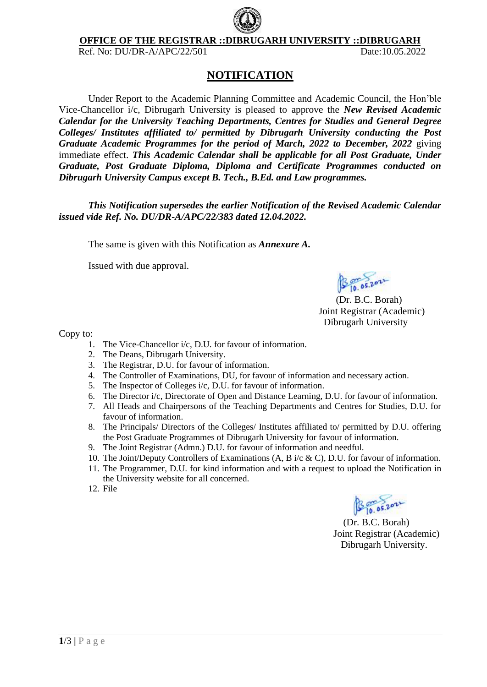

**OFFICE OF THE REGISTRAR ::DIBRUGARH UNIVERSITY ::DIBRUGARH**

Ref. No: DU/DR-A/APC/22/501 Date:10.05.2022

## **NOTIFICATION**

Under Report to the Academic Planning Committee and Academic Council, the Hon'ble Vice-Chancellor i/c, Dibrugarh University is pleased to approve the *New Revised Academic Calendar for the University Teaching Departments, Centres for Studies and General Degree Colleges/ Institutes affiliated to/ permitted by Dibrugarh University conducting the Post Graduate Academic Programmes for the period of March, 2022 to December, 2022* giving immediate effect. *This Academic Calendar shall be applicable for all Post Graduate, Under Graduate, Post Graduate Diploma, Diploma and Certificate Programmes conducted on Dibrugarh University Campus except B. Tech., B.Ed. and Law programmes.*

*This Notification supersedes the earlier Notification of the Revised Academic Calendar issued vide Ref. No. DU/DR-A/APC/22/383 dated 12.04.2022.*

The same is given with this Notification as *Annexure A.*

Issued with due approval.

B 10.05.2021

 (Dr. B.C. Borah) Joint Registrar (Academic) Dibrugarh University

Copy to:

- 1. The Vice-Chancellor i/c, D.U. for favour of information.
- 2. The Deans, Dibrugarh University.
- 3. The Registrar, D.U. for favour of information.
- 4. The Controller of Examinations, DU, for favour of information and necessary action.
- 5. The Inspector of Colleges i/c, D.U. for favour of information.
- 6. The Director i/c, Directorate of Open and Distance Learning, D.U. for favour of information.
- 7. All Heads and Chairpersons of the Teaching Departments and Centres for Studies, D.U. for favour of information.
- 8. The Principals/ Directors of the Colleges/ Institutes affiliated to/ permitted by D.U. offering the Post Graduate Programmes of Dibrugarh University for favour of information.
- 9. The Joint Registrar (Admn.) D.U. for favour of information and needful.
- 10. The Joint/Deputy Controllers of Examinations (A, B i/c & C), D.U. for favour of information.
- 11. The Programmer, D.U. for kind information and with a request to upload the Notification in the University website for all concerned.
- 12. File

B 10.05.2022

 (Dr. B.C. Borah) Joint Registrar (Academic) Dibrugarh University.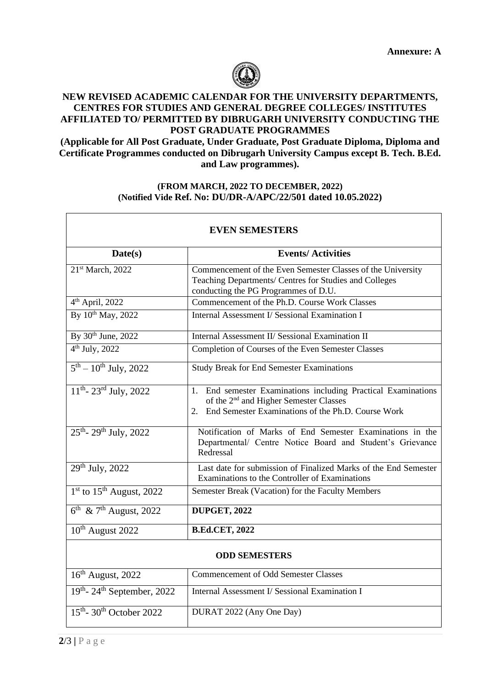

## **NEW REVISED ACADEMIC CALENDAR FOR THE UNIVERSITY DEPARTMENTS, CENTRES FOR STUDIES AND GENERAL DEGREE COLLEGES/ INSTITUTES AFFILIATED TO/ PERMITTED BY DIBRUGARH UNIVERSITY CONDUCTING THE POST GRADUATE PROGRAMMES**

**(Applicable for All Post Graduate, Under Graduate, Post Graduate Diploma, Diploma and Certificate Programmes conducted on Dibrugarh University Campus except B. Tech. B.Ed. and Law programmes).**

## **(FROM MARCH, 2022 TO DECEMBER, 2022) (Notified Vide Ref. No: DU/DR-A/APC/22/501 dated 10.05.2022)**

| <b>EVEN SEMESTERS</b>                            |                                                                                                                                                                                    |  |
|--------------------------------------------------|------------------------------------------------------------------------------------------------------------------------------------------------------------------------------------|--|
| Date(s)                                          | <b>Events/Activities</b>                                                                                                                                                           |  |
| 21st March, 2022                                 | Commencement of the Even Semester Classes of the University<br>Teaching Departments/ Centres for Studies and Colleges<br>conducting the PG Programmes of D.U.                      |  |
| 4 <sup>th</sup> April, 2022                      | Commencement of the Ph.D. Course Work Classes                                                                                                                                      |  |
| By 10 <sup>th</sup> May, 2022                    | Internal Assessment I/ Sessional Examination I                                                                                                                                     |  |
| By 30 <sup>th</sup> June, 2022                   | Internal Assessment II/ Sessional Examination II                                                                                                                                   |  |
| $4^{th}$ July, 2022                              | Completion of Courses of the Even Semester Classes                                                                                                                                 |  |
| $5^{th} - 10^{th}$ July, 2022                    | <b>Study Break for End Semester Examinations</b>                                                                                                                                   |  |
| $11^{th}$ - $23^{rd}$ July, $2022$               | End semester Examinations including Practical Examinations<br>1.<br>of the 2 <sup>nd</sup> and Higher Semester Classes<br>End Semester Examinations of the Ph.D. Course Work<br>2. |  |
| 25 <sup>th</sup> -29 <sup>th</sup> July, 2022    | Notification of Marks of End Semester Examinations in the<br>Departmental/ Centre Notice Board and Student's Grievance<br>Redressal                                                |  |
| $29th$ July, 2022                                | Last date for submission of Finalized Marks of the End Semester<br>Examinations to the Controller of Examinations                                                                  |  |
| $1st$ to $15th$ August, 2022                     | Semester Break (Vacation) for the Faculty Members                                                                                                                                  |  |
| $6^{\text{th}}$ & $7^{\text{th}}$ August, 2022   | <b>DUPGET, 2022</b>                                                                                                                                                                |  |
| 10 <sup>th</sup> August 2022                     | <b>B.Ed.CET, 2022</b>                                                                                                                                                              |  |
| <b>ODD SEMESTERS</b>                             |                                                                                                                                                                                    |  |
| 16 <sup>th</sup> August, 2022                    | <b>Commencement of Odd Semester Classes</b>                                                                                                                                        |  |
| 19th-24th September, 2022                        | Internal Assessment I/ Sessional Examination I                                                                                                                                     |  |
| $15^{\text{th}}$ - $30^{\text{th}}$ October 2022 | DURAT 2022 (Any One Day)                                                                                                                                                           |  |